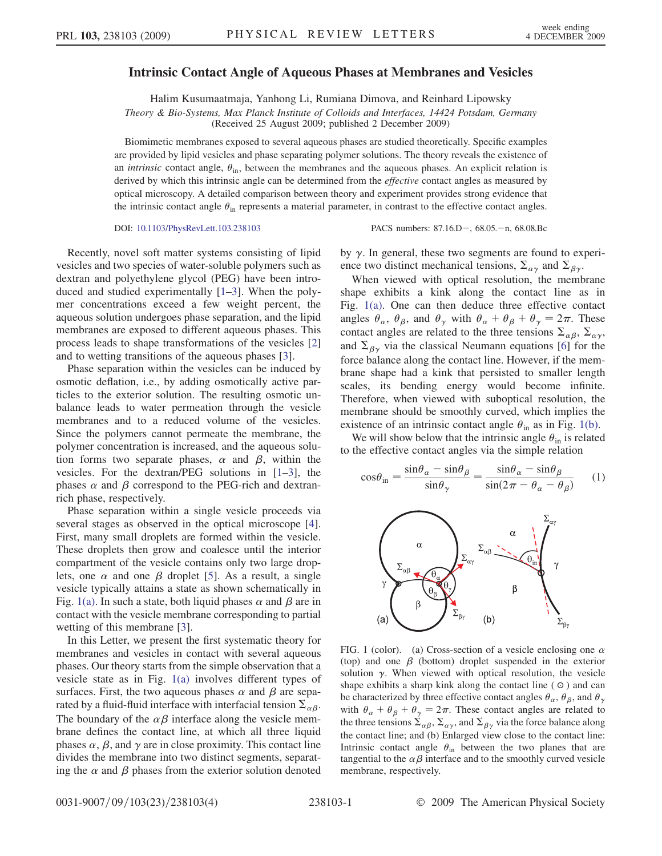## Intrinsic Contact Angle of Aqueous Phases at Membranes and Vesicles

Halim Kusumaatmaja, Yanhong Li, Rumiana Dimova, and Reinhard Lipowsky

Theory & Bio-Systems, Max Planck Institute of Colloids and Interfaces, 14424 Potsdam, Germany

(Received 25 August 2009; published 2 December 2009)

Biomimetic membranes exposed to several aqueous phases are studied theoretically. Specific examples are provided by lipid vesicles and phase separating polymer solutions. The theory reveals the existence of an *intrinsic* contact angle,  $\theta_{\text{in}}$ , between the membranes and the aqueous phases. An explicit relation is derived by which this intrinsic angle can be determined from the *effective* contact angles as measured by optical microscopy. A detailed comparison between theory and experiment provides strong evidence that the intrinsic contact angle  $\theta_{\rm in}$  represents a material parameter, in contrast to the effective contact angles.

DOI: [10.1103/PhysRevLett.103.238103](http://dx.doi.org/10.1103/PhysRevLett.103.238103) PACS numbers: 87.16.D-, 68.05.-n, 68.08.Bc

Recently, novel soft matter systems consisting of lipid vesicles and two species of water-soluble polymers such as dextran and polyethylene glycol (PEG) have been introduced and studied experimentally [[1](#page-3-0)[–3\]](#page-3-1). When the polymer concentrations exceed a few weight percent, the aqueous solution undergoes phase separation, and the lipid membranes are exposed to different aqueous phases. This process leads to shape transformations of the vesicles [\[2\]](#page-3-2) and to wetting transitions of the aqueous phases [[3\]](#page-3-1).

Phase separation within the vesicles can be induced by osmotic deflation, i.e., by adding osmotically active particles to the exterior solution. The resulting osmotic unbalance leads to water permeation through the vesicle membranes and to a reduced volume of the vesicles. Since the polymers cannot permeate the membrane, the polymer concentration is increased, and the aqueous solution forms two separate phases,  $\alpha$  and  $\beta$ , within the vesicles. For the dextran/PEG solutions in [\[1](#page-3-0)–[3\]](#page-3-1), the phases  $\alpha$  and  $\beta$  correspond to the PEG-rich and dextranrich phase, respectively.

Phase separation within a single vesicle proceeds via several stages as observed in the optical microscope [[4\]](#page-3-3). First, many small droplets are formed within the vesicle. These droplets then grow and coalesce until the interior compartment of the vesicle contains only two large droplets, one  $\alpha$  and one  $\beta$  droplet [\[5\]](#page-3-4). As a result, a single vesicle typically attains a state as shown schematically in Fig. [1\(a\).](#page-0-0) In such a state, both liquid phases  $\alpha$  and  $\beta$  are in contact with the vesicle membrane corresponding to partial wetting of this membrane [\[3](#page-3-1)].

In this Letter, we present the first systematic theory for membranes and vesicles in contact with several aqueous phases. Our theory starts from the simple observation that a vesicle state as in Fig. [1\(a\)](#page-0-0) involves different types of surfaces. First, the two aqueous phases  $\alpha$  and  $\beta$  are separated by a fluid-fluid interface with interfacial tension  $\Sigma_{\alpha\beta}$ . The boundary of the  $\alpha\beta$  interface along the vesicle membrane defines the contact line, at which all three liquid phases  $\alpha$ ,  $\beta$ , and  $\gamma$  are in close proximity. This contact line divides the membrane into two distinct segments, separating the  $\alpha$  and  $\beta$  phases from the exterior solution denoted by  $\gamma$ . In general, these two segments are found to experience two distinct mechanical tensions,  $\Sigma_{\alpha\gamma}$  and  $\Sigma_{\beta\gamma}$ .

When viewed with optical resolution, the membrane shape exhibits a kink along the contact line as in Fig. [1\(a\).](#page-0-0) One can then deduce three effective contact angles  $\theta_{\alpha}$ ,  $\theta_{\beta}$ , and  $\theta_{\gamma}$  with  $\theta_{\alpha} + \theta_{\beta} + \theta_{\gamma} = 2\pi$ . These contact angles are related to the three tensions  $\Sigma_{\alpha\beta}$ ,  $\Sigma_{\alpha\gamma}$ , and  $\Sigma_{\beta\gamma}$  via the classical Neumann equations [\[6](#page-3-5)] for the force balance along the contact line. However, if the membrane shape had a kink that persisted to smaller length scales, its bending energy would become infinite. Therefore, when viewed with suboptical resolution, the membrane should be smoothly curved, which implies the existence of an intrinsic contact angle  $\theta_{\text{in}}$  as in Fig. [1\(b\)](#page-0-0).

<span id="page-0-1"></span>We will show below that the intrinsic angle  $\theta_{\text{in}}$  is related to the effective contact angles via the simple relation

$$
\cos\theta_{\rm in} = \frac{\sin\theta_{\alpha} - \sin\theta_{\beta}}{\sin\theta_{\gamma}} = \frac{\sin\theta_{\alpha} - \sin\theta_{\beta}}{\sin(2\pi - \theta_{\alpha} - \theta_{\beta})}
$$
 (1)



<span id="page-0-0"></span>FIG. 1 (color). (a) Cross-section of a vesicle enclosing one  $\alpha$ (top) and one  $\beta$  (bottom) droplet suspended in the exterior solution  $\gamma$ . When viewed with optical resolution, the vesicle shape exhibits a sharp kink along the contact line  $( \circ )$  and can be characterized by three effective contact angles  $\theta_{\alpha}$ ,  $\theta_{\beta}$ , and  $\theta_{\gamma}$ with  $\theta_{\alpha} + \theta_{\beta} + \theta_{\gamma} = 2\pi$ . These contact angles are related to the three tensions  $\Sigma_{\alpha\beta}$ ,  $\Sigma_{\alpha\gamma}$ , and  $\Sigma_{\beta\gamma}$  via the force balance along the contact line; and (b) Enlarged view close to the contact line: Intrinsic contact angle  $\theta_{\text{in}}$  between the two planes that are tangential to the  $\alpha\beta$  interface and to the smoothly curved vesicle membrane, respectively.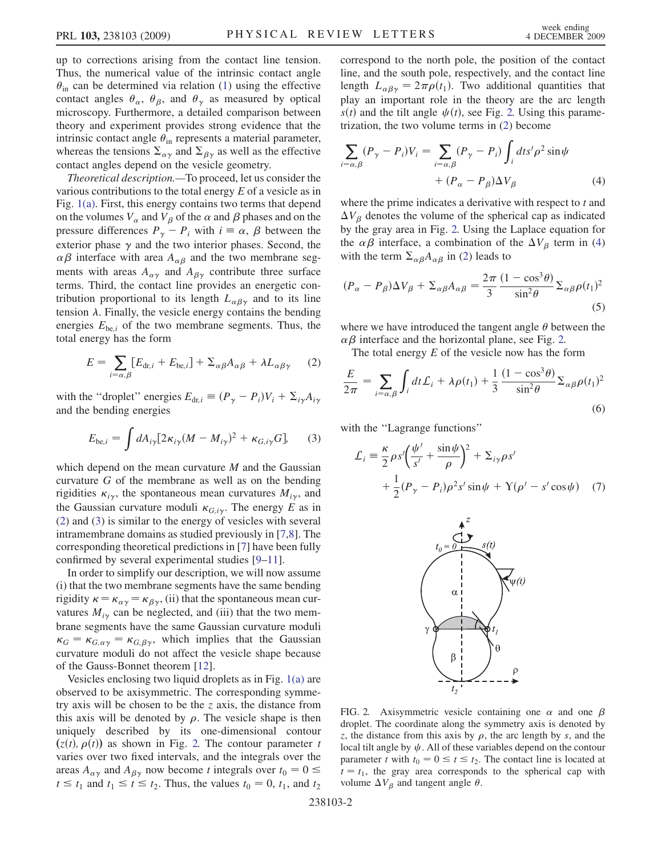up to corrections arising from the contact line tension. Thus, the numerical value of the intrinsic contact angle  $\theta_{\rm in}$  can be determined via relation ([1](#page-0-1)) using the effective contact angles  $\theta_{\alpha}$ ,  $\theta_{\beta}$ , and  $\theta_{\gamma}$  as measured by optical microscopy. Furthermore, a detailed comparison between theory and experiment provides strong evidence that the intrinsic contact angle  $\theta_{\rm in}$  represents a material parameter, whereas the tensions  $\Sigma_{\alpha\gamma}$  and  $\Sigma_{\beta\gamma}$  as well as the effective contact angles depend on the vesicle geometry.

Theoretical description.—To proceed, let us consider the various contributions to the total energy  $E$  of a vesicle as in Fig. [1\(a\).](#page-0-0) First, this energy contains two terms that depend on the volumes  $V_\alpha$  and  $V_\beta$  of the  $\alpha$  and  $\beta$  phases and on the pressure differences  $P_{\gamma} - P_i$  with  $i = \alpha$ ,  $\beta$  between the exterior phase  $\gamma$  and the two interior phases. Second, the  $\alpha\beta$  interface with area  $A_{\alpha\beta}$  and the two membrane segments with areas  $A_{\alpha\gamma}$  and  $A_{\beta\gamma}$  contribute three surface terms. Third, the contact line provides an energetic contribution proportional to its length  $L_{\alpha\beta\gamma}$  and to its line tension  $\lambda$ . Finally, the vesicle energy contains the bending energies  $E_{be,i}$  of the two membrane segments. Thus, the total energy has the form

<span id="page-1-0"></span>
$$
E = \sum_{i=\alpha,\beta} [E_{\text{dr},i} + E_{\text{be},i}] + \Sigma_{\alpha\beta} A_{\alpha\beta} + \lambda L_{\alpha\beta\gamma} \qquad (2)
$$

<span id="page-1-1"></span>with the "droplet" energies  $E_{dr,i} \equiv (P_{\gamma} - P_i)V_i + \sum_{i\gamma}A_{i\gamma}$ and the bending energies

$$
E_{be,i} = \int dA_{i\gamma} [2\kappa_{i\gamma} (M - M_{i\gamma})^2 + \kappa_{G,i\gamma} G], \qquad (3)
$$

which depend on the mean curvature  $M$  and the Gaussian curvature G of the membrane as well as on the bending rigidities  $\kappa_{i\gamma}$ , the spontaneous mean curvatures  $M_{i\gamma}$ , and the Gaussian curvature moduli  $\kappa_{G,i,\gamma}$ . The energy E as in [\(2\)](#page-1-0) and [\(3](#page-1-1)) is similar to the energy of vesicles with several intramembrane domains as studied previously in [\[7](#page-3-6)[,8](#page-3-7)]. The corresponding theoretical predictions in [[7](#page-3-6)] have been fully confirmed by several experimental studies [[9](#page-3-8)[–11\]](#page-3-9).

In order to simplify our description, we will now assume (i) that the two membrane segments have the same bending rigidity  $\kappa = \kappa_{\alpha\gamma} = \kappa_{\beta\gamma}$ , (ii) that the spontaneous mean curvatures  $M_{i\nu}$  can be neglected, and (iii) that the two membrane segments have the same Gaussian curvature moduli  $\kappa_G = \kappa_{G,\alpha\gamma} = \kappa_{G,\beta\gamma}$ , which implies that the Gaussian curvature moduli do not affect the vesicle shape because of the Gauss-Bonnet theorem [[12](#page-3-10)].

Vesicles enclosing two liquid droplets as in Fig. [1\(a\)](#page-0-0) are observed to be axisymmetric. The corresponding symmetry axis will be chosen to be the  $z$  axis, the distance from this axis will be denoted by  $\rho$ . The vesicle shape is then uniquely described by its one-dimensional contour  $(z(t), \rho(t))$  as shown in Fig. [2.](#page-1-2) The contour parameter t varies over two fixed intervals, and the integrals over the areas  $A_{\alpha\gamma}$  and  $A_{\beta\gamma}$  now become t integrals over  $t_0 = 0 \leq$  $t \leq t_1$  and  $t_1 \leq t \leq t_2$ . Thus, the values  $t_0 = 0$ ,  $t_1$ , and  $t_2$  correspond to the north pole, the position of the contact line, and the south pole, respectively, and the contact line length  $L_{\alpha\beta\gamma} = 2\pi\rho(t_1)$ . Two additional quantities that play an important role in the theory are the arc length  $s(t)$  and the tilt angle  $\psi(t)$ , see Fig. [2.](#page-1-2) Using this parametrization, the two volume terms in ([2\)](#page-1-0) become

<span id="page-1-3"></span>
$$
\sum_{i=\alpha,\beta}(P_{\gamma}-P_{i})V_{i} = \sum_{i=\alpha,\beta}(P_{\gamma}-P_{i})\int_{i}dt s'\rho^{2}\sin\psi
$$

$$
+(P_{\alpha}-P_{\beta})\Delta V_{\beta}
$$
(4)

where the prime indicates a derivative with respect to  $t$  and  $\Delta V_{\beta}$  denotes the volume of the spherical cap as indicated by the gray area in Fig. [2.](#page-1-2) Using the Laplace equation for the  $\alpha\beta$  interface, a combination of the  $\Delta V_\beta$  term in [\(4\)](#page-1-3) with the term  $\Sigma_{\alpha\beta}A_{\alpha\beta}$  in [\(2\)](#page-1-0) leads to

$$
(P_{\alpha} - P_{\beta})\Delta V_{\beta} + \Sigma_{\alpha\beta}A_{\alpha\beta} = \frac{2\pi}{3} \frac{(1 - \cos^{3}\theta)}{\sin^{2}\theta} \Sigma_{\alpha\beta}\rho(t_{1})^{2}
$$
\n(5)

where we have introduced the tangent angle  $\theta$  between the  $\alpha\beta$  interface and the horizontal plane, see Fig. [2.](#page-1-2)

<span id="page-1-4"></span>The total energy  $E$  of the vesicle now has the form

$$
\frac{E}{2\pi} = \sum_{i=\alpha,\beta} \int_i dt \mathcal{L}_i + \lambda \rho(t_1) + \frac{1}{3} \frac{(1 - \cos^3 \theta)}{\sin^2 \theta} \Sigma_{\alpha\beta} \rho(t_1)^2
$$
\n(6)

with the "Lagrange functions"

$$
\mathcal{L}_i = \frac{\kappa}{2} \rho s' \left( \frac{\psi'}{s'} + \frac{\sin \psi}{\rho} \right)^2 + \Sigma_{i\gamma} \rho s' \n+ \frac{1}{2} (P_\gamma - P_i) \rho^2 s' \sin \psi + \Upsilon (\rho' - s' \cos \psi) \quad (7)
$$

<span id="page-1-2"></span>

FIG. 2. Axisymmetric vesicle containing one  $\alpha$  and one  $\beta$ droplet. The coordinate along the symmetry axis is denoted by z, the distance from this axis by  $\rho$ , the arc length by s, and the local tilt angle by  $\psi$ . All of these variables depend on the contour parameter t with  $t_0 = 0 \le t \le t_2$ . The contact line is located at  $t = t_1$ , the gray area corresponds to the spherical cap with volume  $\Delta V_\beta$  and tangent angle  $\theta$ .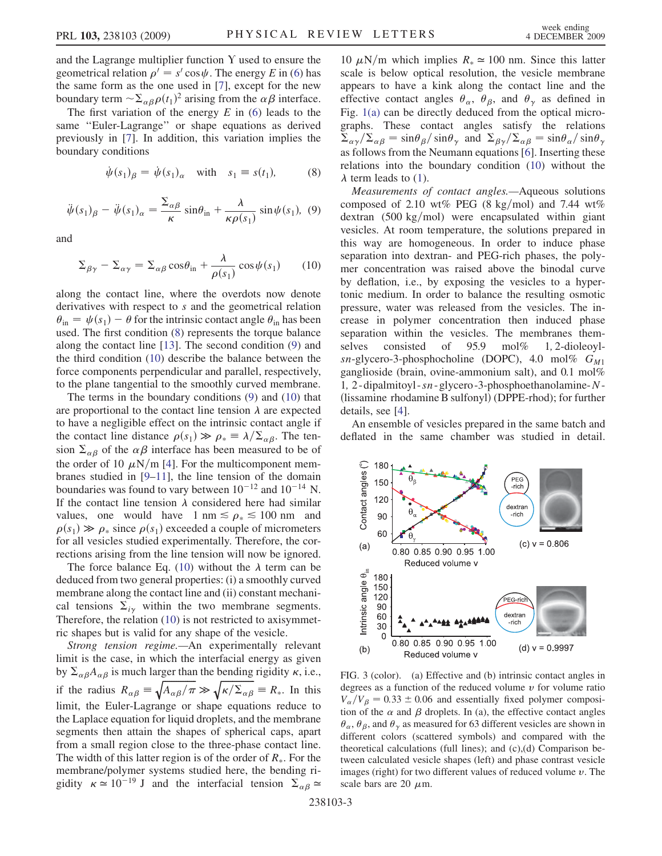and the Lagrange multiplier function  $Y$  used to ensure the geometrical relation  $\rho' = s' \cos \psi$ . The energy E in ([6](#page-1-4)) has the same form as the one used in [\[7](#page-3-6)], except for the new boundary term  $\sim \sum_{\alpha\beta}\rho(t_1)^2$  arising from the  $\alpha\beta$  interface.

The first variation of the energy  $E$  in [\(6\)](#page-1-4) leads to the same ''Euler-Lagrange'' or shape equations as derived previously in [[7\]](#page-3-6). In addition, this variation implies the boundary conditions

$$
\dot{\psi}(s_1)_{\beta} = \dot{\psi}(s_1)_{\alpha} \quad \text{with} \quad s_1 \equiv s(t_1), \tag{8}
$$

<span id="page-2-1"></span>
$$
\ddot{\psi}(s_1)_{\beta} - \ddot{\psi}(s_1)_{\alpha} = \frac{\Sigma_{\alpha\beta}}{\kappa} \sin \theta_{\text{in}} + \frac{\lambda}{\kappa \rho(s_1)} \sin \psi(s_1), \tag{9}
$$

<span id="page-2-2"></span><span id="page-2-0"></span>and

$$
\Sigma_{\beta\gamma} - \Sigma_{\alpha\gamma} = \Sigma_{\alpha\beta}\cos\theta_{\rm in} + \frac{\lambda}{\rho(s_1)}\cos\psi(s_1)
$$
 (10)

along the contact line, where the overdots now denote derivatives with respect to s and the geometrical relation  $\theta_{\rm in} = \psi(s_1) - \theta$  for the intrinsic contact angle  $\theta_{\rm in}$  has been used. The first condition ([8\)](#page-2-0) represents the torque balance along the contact line [\[13\]](#page-3-11). The second condition ([9](#page-2-1)) and the third condition [\(10\)](#page-2-2) describe the balance between the force components perpendicular and parallel, respectively, to the plane tangential to the smoothly curved membrane.

The terms in the boundary conditions ([9](#page-2-1)) and ([10](#page-2-2)) that are proportional to the contact line tension  $\lambda$  are expected to have a negligible effect on the intrinsic contact angle if the contact line distance  $\rho(s_1) \gg \rho_* \equiv \lambda/\Sigma_{\alpha\beta}$ . The tension  $\Sigma_{\alpha\beta}$  of the  $\alpha\beta$  interface has been measured to be of the order of 10  $\mu$ N/m [[4\]](#page-3-3). For the multicomponent membranes studied in [[9–](#page-3-8)[11](#page-3-9)], the line tension of the domain boundaries was found to vary between  $10^{-12}$  and  $10^{-14}$  N. If the contact line tension  $\lambda$  considered here had similar values, one would have  $1 \text{ nm} \leq \rho_* \leq 100 \text{ nm}$  and  $\rho(s_1) \gg \rho_*$  since  $\rho(s_1)$  exceeded a couple of micrometers for all vesicles studied experimentally. Therefore, the corrections arising from the line tension will now be ignored.

The force balance Eq. [\(10\)](#page-2-2) without the  $\lambda$  term can be deduced from two general properties: (i) a smoothly curved membrane along the contact line and (ii) constant mechanical tensions  $\Sigma_{i\gamma}$  within the two membrane segments. Therefore, the relation [\(10\)](#page-2-2) is not restricted to axisymmetric shapes but is valid for any shape of the vesicle.

Strong tension regime.—An experimentally relevant limit is the case, in which the interfacial energy as given by  $\Sigma_{\alpha\beta}A_{\alpha\beta}$  is much larger than the bending rigidity  $\kappa$ , i.e., if the radius  $R_{\alpha\beta} = \sqrt{A_{\alpha\beta}/\pi} \gg \sqrt{\kappa/\Sigma_{\alpha\beta}} = R_*$ . In this limit, the Euler-Lagrange or shape equations reduce to the Laplace equation for liquid droplets, and the membrane segments then attain the shapes of spherical caps, apart from a small region close to the three-phase contact line. The width of this latter region is of the order of  $R_{\ast}$ . For the membrane/polymer systems studied here, the bending rigidity  $\kappa \approx 10^{-19}$  J and the interfacial tension  $\Sigma_{\alpha\beta} \approx$ 

10  $\mu$ N/m which implies  $R_* \approx 100$  nm. Since this latter scale is below optical resolution, the vesicle membrane appears to have a kink along the contact line and the effective contact angles  $\theta_{\alpha}$ ,  $\theta_{\beta}$ , and  $\theta_{\gamma}$  as defined in Fig. [1\(a\)](#page-0-0) can be directly deduced from the optical micrographs. These contact angles satisfy the relations  $\sum_{\alpha\gamma}/\sum_{\alpha\beta} = \sin\theta_{\beta}/\sin\theta_{\gamma}$  and  $\sum_{\beta\gamma}/\sum_{\alpha\beta} = \sin\theta_{\alpha}/\sin\theta_{\gamma}$ as follows from the Neumann equations [[6\]](#page-3-5). Inserting these relations into the boundary condition [\(10\)](#page-2-2) without the  $\lambda$  term leads to ([1](#page-0-1)).

Measurements of contact angles.—Aqueous solutions composed of 2.10 wt% PEG (8 kg/mol) and 7.44 wt% dextran  $(500 \text{ kg/mol})$  were encapsulated within giant vesicles. At room temperature, the solutions prepared in this way are homogeneous. In order to induce phase separation into dextran- and PEG-rich phases, the polymer concentration was raised above the binodal curve by deflation, i.e., by exposing the vesicles to a hypertonic medium. In order to balance the resulting osmotic pressure, water was released from the vesicles. The increase in polymer concentration then induced phase separation within the vesicles. The membranes themselves consisted of 95.9 mol% 1, 2-dioleoylsn-glycero-3-phosphocholine (DOPC), 4.0 mol%  $G_{M1}$ ganglioside (brain, ovine-ammonium salt), and 0.1 mol% 1; 2- dipalmitoyl -sn- glycero -3-phosphoethanolamine-N-(lissamine rhodamine B sulfonyl) (DPPE-rhod); for further details, see [[4](#page-3-3)].

An ensemble of vesicles prepared in the same batch and deflated in the same chamber was studied in detail.



<span id="page-2-3"></span>FIG. 3 (color). (a) Effective and (b) intrinsic contact angles in degrees as a function of the reduced volume  $\nu$  for volume ratio  $V_{\alpha}/V_{\beta} = 0.33 \pm 0.06$  and essentially fixed polymer composition of the  $\alpha$  and  $\beta$  droplets. In (a), the effective contact angles  $\theta_{\alpha}$ ,  $\theta_{\beta}$ , and  $\theta_{\gamma}$  as measured for 63 different vesicles are shown in different colors (scattered symbols) and compared with the theoretical calculations (full lines); and (c),(d) Comparison between calculated vesicle shapes (left) and phase contrast vesicle images (right) for two different values of reduced volume  $v$ . The scale bars are 20  $\mu$ m.